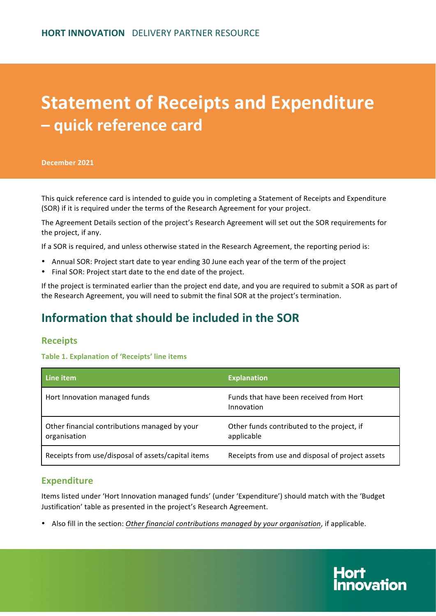# **Statement of Receipts and Expenditure – quick reference card**

**December 2021**

This quick reference card is intended to guide you in completing a Statement of Receipts and Expenditure (SOR) if it is required under the terms of the Research Agreement for your project.

The Agreement Details section of the project's Research Agreement will set out the SOR requirements for the project, if any.

If a SOR is required, and unless otherwise stated in the Research Agreement, the reporting period is:

- Annual SOR: Project start date to year ending 30 June each year of the term of the project
- Final SOR: Project start date to the end date of the project.

If the project is terminated earlier than the project end date, and you are required to submit a SOR as part of the Research Agreement, you will need to submit the final SOR at the project's termination.

# **Information that should be included in the SOR**

## **Receipts**

#### **Table 1. Explanation of 'Receipts' line items**

| Line item                                                     | <b>Explanation</b>                                       |
|---------------------------------------------------------------|----------------------------------------------------------|
| Hort Innovation managed funds                                 | Funds that have been received from Hort<br>Innovation    |
| Other financial contributions managed by your<br>organisation | Other funds contributed to the project, if<br>applicable |
| Receipts from use/disposal of assets/capital items            | Receipts from use and disposal of project assets         |

## **Expenditure**

Items listed under 'Hort Innovation managed funds' (under 'Expenditure') should match with the 'Budget Justification' table as presented in the project's Research Agreement.

• Also fill in the section: Other financial contributions managed by your organisation, if applicable.